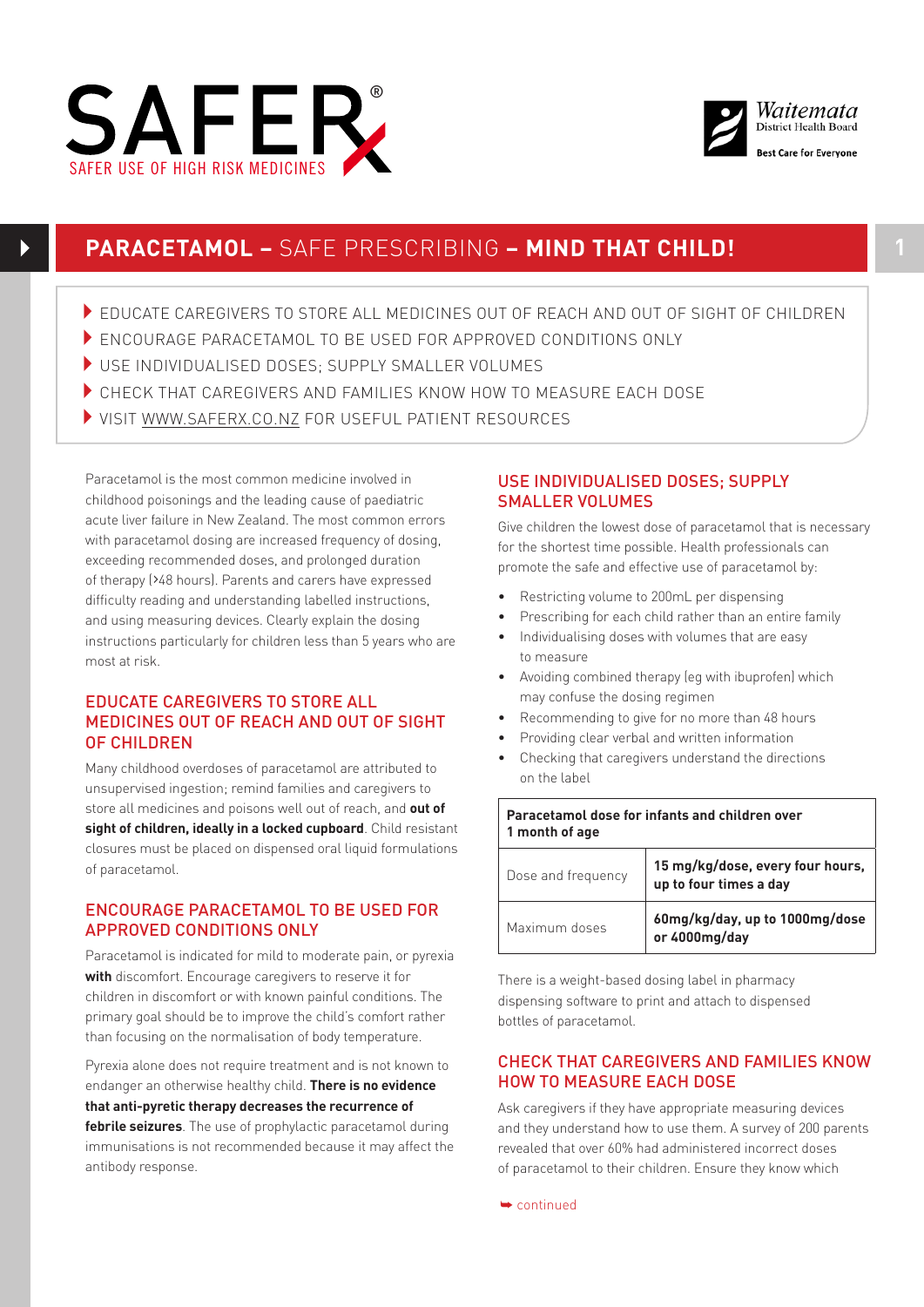



# **PARACETAMOL –** SAFE PRESCRIBING **– MIND THAT CHILD! 1**

- 4EDUCATE CAREGIVERS TO STORE ALL MEDICINES OUT OF REACH AND OUT OF SIGHT OF CHILDREN
- **ENCOURAGE PARACETAMOL TO BE USED FOR APPROVED CONDITIONS ONLY**
- 4USE INDIVIDUALISED DOSES; SUPPLY SMALLER VOLUMES
- CHECK THAT CAREGIVERS AND FAMILIES KNOW HOW TO MEASURE EACH DOSE
- 4VISIT [WWW.SAFERX.CO.NZ](http://WWW.SAFERX.CO.NZ) FOR USEFUL PATIENT RESOURCES

Paracetamol is the most common medicine involved in childhood poisonings and the leading cause of paediatric acute liver failure in New Zealand. The most common errors with paracetamol dosing are increased frequency of dosing, exceeding recommended doses, and prolonged duration of therapy (>48 hours). Parents and carers have expressed difficulty reading and understanding labelled instructions, and using measuring devices. Clearly explain the dosing instructions particularly for children less than 5 years who are most at risk.

## EDUCATE CAREGIVERS TO STORE ALL MEDICINES OUT OF REACH AND OUT OF SIGHT OF CHILDREN

Many childhood overdoses of paracetamol are attributed to unsupervised ingestion; remind families and caregivers to store all medicines and poisons well out of reach, and **out of sight of children, ideally in a locked cupboard**. Child resistant closures must be placed on dispensed oral liquid formulations of paracetamol.

## ENCOURAGE PARACETAMOL TO BE USED FOR APPROVED CONDITIONS ONLY

Paracetamol is indicated for mild to moderate pain, or pyrexia **with** discomfort. Encourage caregivers to reserve it for children in discomfort or with known painful conditions. The primary goal should be to improve the child's comfort rather than focusing on the normalisation of body temperature.

Pyrexia alone does not require treatment and is not known to endanger an otherwise healthy child. **There is no evidence that anti-pyretic therapy decreases the recurrence of febrile seizures**. The use of prophylactic paracetamol during immunisations is not recommended because it may affect the antibody response.

### USE INDIVIDUALISED DOSES; SUPPLY SMALLER VOLUMES

Give children the lowest dose of paracetamol that is necessary for the shortest time possible. Health professionals can promote the safe and effective use of paracetamol by:

- Restricting volume to 200mL per dispensing
- Prescribing for each child rather than an entire family
- Individualising doses with volumes that are easy to measure
- Avoiding combined therapy (eg with ibuprofen) which may confuse the dosing regimen
- Recommending to give for no more than 48 hours
- Providing clear verbal and written information
- Checking that caregivers understand the directions on the label

| Paracetamol dose for infants and children over<br>1 month of age |                                                            |
|------------------------------------------------------------------|------------------------------------------------------------|
| Dose and frequency                                               | 15 mg/kg/dose, every four hours,<br>up to four times a day |
| Maximum doses                                                    | 60mg/kg/day, up to 1000mg/dose<br>or 4000mg/day            |

There is a weight-based dosing label in pharmacy dispensing software to print and attach to dispensed bottles of paracetamol.

### CHECK THAT CAREGIVERS AND FAMILIES KNOW HOW TO MEASURE EACH DOSE

Ask caregivers if they have appropriate measuring devices and they understand how to use them. A survey of 200 parents revealed that over 60% had administered incorrect doses of paracetamol to their children. Ensure they know which

➥ continued